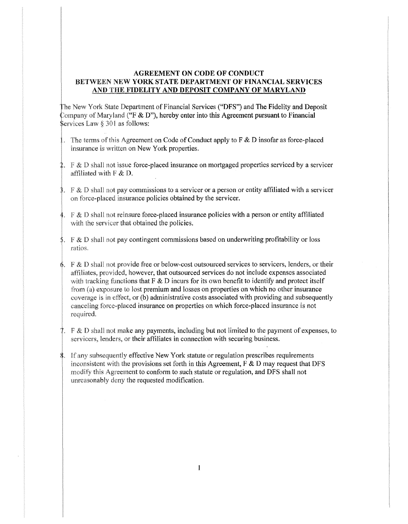## AGREEMENT ON CODE OF CONDUCT BETWEEN NEW YORK STATE DEPARTMENT OF FINANCIAL SERVICES AND THE FIDELITY AND DEPOSIT COMPANY OF MARYLAND

Law  $\S 301$  as follows: The New York State Department of Financial Services ("DFS") and The Fidelity and Deposit Company of Maryland ("F & D"), hereby enter into this Agreement pursuant to Financial

- 1. The terms of this Agreement on Code of Conduct apply to F & D insofar as force-placed insurance is written on New York properties.
- affiliated with  $F & D$ . 2. F & D shall not issue force-placed insurance on mortgaged properties serviced by a servicer
- $\frac{1}{2}$ . F & D shall not pay commissions to a servicer or a person or entity affiliated with a servicer on force-placed insurance policies obtained by the servicer.
- 4.  $F \& D$  shall not reinsure force-placed insurance policies with a person or entity affiliated with the servicer that obtained the policies.
- $\pm$ . F & D shall not pay contingent commissions based on underwriting profitability or loss ratios.
- $\phi$ . F & D shall not provide free or below-cost outsourced services to servicers, lenders, or their affiliates, provided, however, that outsourced services do not include expenses associated with tracking functions that F & D incurs for its own benefit to identify and protect itself from  $(a)$  exposure to lost premium and losses on properties on which no other insurance coverage is in effect, or (b) administrative costs associated with providing and subsequently canceling force-placed insurance on properties on which force-placed insurance is not required.
- 7.  $\mathbb{F} \& \mathbb{D}$  shall not make any payments, including but not limited to the payment of expenses, to servicers, lenders, or their affiliates in connection with securing business.
- $\frac{1}{2}$ . If any subsequently effective New York statute or regulation prescribes requirements inconsistent with the provisions set forth in this Agreement,  $F$  & D may request that DFS modify this Agreement to conform to such statute or regulation, and DFS shall not unreasonably deny the requested modification.